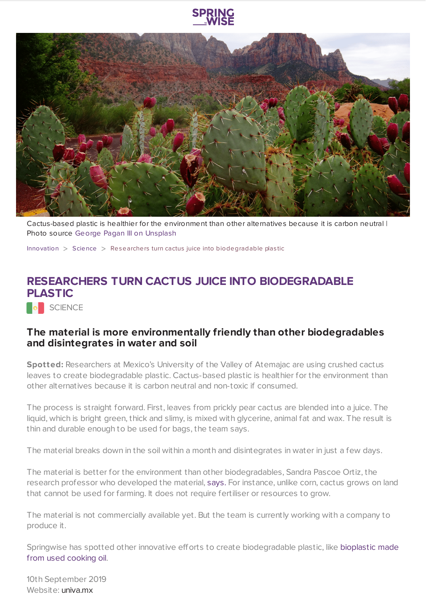



Cactus-based plastic is healthier for the environment than other alternatives because it is carbon neutral | Photo source George Pagan III on [Unsplash](https://unsplash.com/photos/DLqHu9V6WHE)

[Innovation](https://www.springwise.com/search?type=innovation)  $>$  [Science](https://www.springwise.com/search?type=innovation§or=science-and-natural-world)  $>$  Researchers turn cactus juice into biodegradable plastic

## **RESEARCHERS TURN CACTUS JUICE INTO BIODEGRADABLE PLASTIC**

**O** SCIENCE

## **The material is more environmentally friendly than other biodegradables and disintegrates in water and soil**

**Spotted:** Researchers at Mexico's University of the Valley of Atemajac are using crushed cactus leaves to create biodegradable plastic. Cactus-based plastic is healthier for the environment than other alternatives because it is carbon neutral and non-toxic if consumed.

The process is straight forward. First, leaves from prickly pear cactus are blended into a juice. The liquid, which is bright green, thick and slimy, is mixed with glycerine, animal fat and wax. The result is thin and durable enough to be used for bags, the team says.

The material breaks down in the soil within a month and disintegrates in water in just a few days.

The material is better for the environment than other biodegradables, Sandra Pascoe Ortiz, the research professor who developed the material, [says.](https://www.fastcompany.com/90365199/this-new-biodegradable-plastic-is-made-from-cactus) For instance, unlike corn, cactus grows on land that cannot be used for farming. It does not require fertiliser or resources to grow.

The material is not commercially available yet. But the team is currently working with a company to produce it.

Springwise has spotted other innovative efforts to create [biodegradable](https://www.springwise.com/biodegradable-plastic-created-using-cooking-oil-waste/) plastic, like bioplastic made from used cooking oil.

10th September 2019 Website: [univa.mx](https://www.univa.mx/)